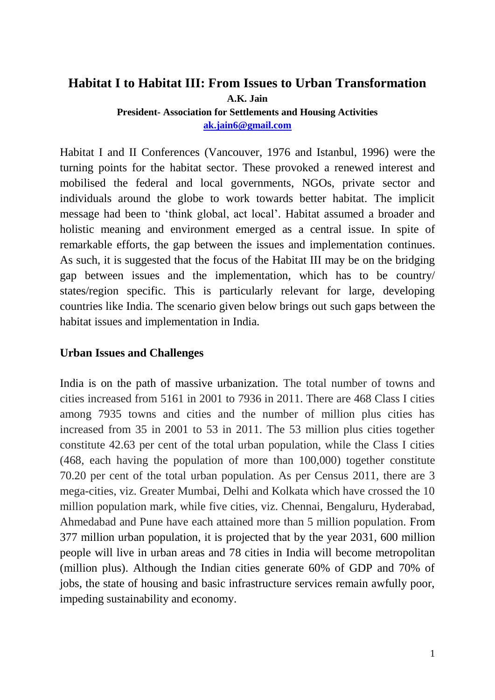# **Habitat I to Habitat III: From Issues to Urban Transformation A.K. Jain**

**President- Association for Settlements and Housing Activities [ak.jain6@gmail.com](mailto:ak.jain6@gmail.com)**

Habitat I and II Conferences (Vancouver, 1976 and Istanbul, 1996) were the turning points for the habitat sector. These provoked a renewed interest and mobilised the federal and local governments, NGOs, private sector and individuals around the globe to work towards better habitat. The implicit message had been to 'think global, act local'. Habitat assumed a broader and holistic meaning and environment emerged as a central issue. In spite of remarkable efforts, the gap between the issues and implementation continues. As such, it is suggested that the focus of the Habitat III may be on the bridging gap between issues and the implementation, which has to be country/ states/region specific. This is particularly relevant for large, developing countries like India. The scenario given below brings out such gaps between the habitat issues and implementation in India.

#### **Urban Issues and Challenges**

India is on the path of massive urbanization. The total number of towns and cities increased from 5161 in 2001 to 7936 in 2011. There are 468 Class I cities among 7935 towns and cities and the number of million plus cities has increased from 35 in 2001 to 53 in 2011. The 53 million plus cities together constitute 42.63 per cent of the total urban population, while the Class I cities (468, each having the population of more than 100,000) together constitute 70.20 per cent of the total urban population. As per Census 2011, there are 3 mega-cities, viz. Greater Mumbai, Delhi and Kolkata which have crossed the 10 million population mark, while five cities, viz. Chennai, Bengaluru, Hyderabad, Ahmedabad and Pune have each attained more than 5 million population. From 377 million urban population, it is projected that by the year 2031, 600 million people will live in urban areas and 78 cities in India will become metropolitan (million plus). Although the Indian cities generate 60% of GDP and 70% of jobs, the state of housing and basic infrastructure services remain awfully poor, impeding sustainability and economy.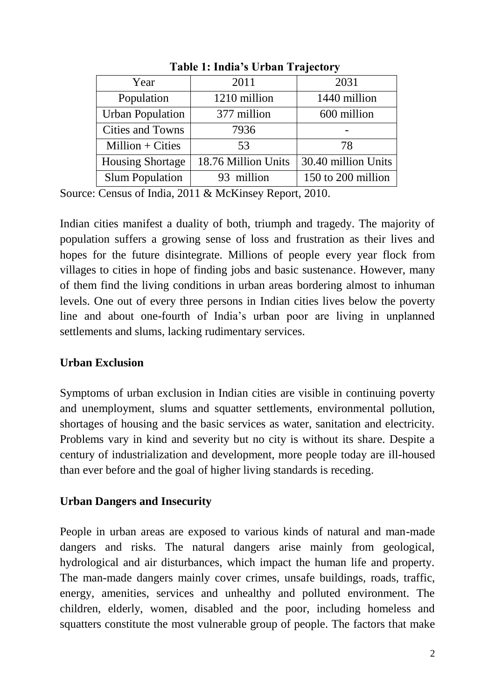| Year                    | 2011                | 2031                |
|-------------------------|---------------------|---------------------|
| Population              | 1210 million        | 1440 million        |
| <b>Urban Population</b> | 377 million         | 600 million         |
| <b>Cities and Towns</b> | 7936                |                     |
| Million $+$ Cities      | 53                  | 78                  |
| <b>Housing Shortage</b> | 18.76 Million Units | 30.40 million Units |
| <b>Slum Population</b>  | 93 million          | 150 to 200 million  |

**Table 1: India's Urban Trajectory**

Source: Census of India, 2011 & McKinsey Report, 2010.

Indian cities manifest a duality of both, triumph and tragedy. The majority of population suffers a growing sense of loss and frustration as their lives and hopes for the future disintegrate. Millions of people every year flock from villages to cities in hope of finding jobs and basic sustenance. However, many of them find the living conditions in urban areas bordering almost to inhuman levels. One out of every three persons in Indian cities lives below the poverty line and about one-fourth of India's urban poor are living in unplanned settlements and slums, lacking rudimentary services.

#### **Urban Exclusion**

Symptoms of urban exclusion in Indian cities are visible in continuing poverty and unemployment, slums and squatter settlements, environmental pollution, shortages of housing and the basic services as water, sanitation and electricity. Problems vary in kind and severity but no city is without its share. Despite a century of industrialization and development, more people today are ill-housed than ever before and the goal of higher living standards is receding.

#### **Urban Dangers and Insecurity**

People in urban areas are exposed to various kinds of natural and man-made dangers and risks. The natural dangers arise mainly from geological, hydrological and air disturbances, which impact the human life and property. The man-made dangers mainly cover crimes, unsafe buildings, roads, traffic, energy, amenities, services and unhealthy and polluted environment. The children, elderly, women, disabled and the poor, including homeless and squatters constitute the most vulnerable group of people. The factors that make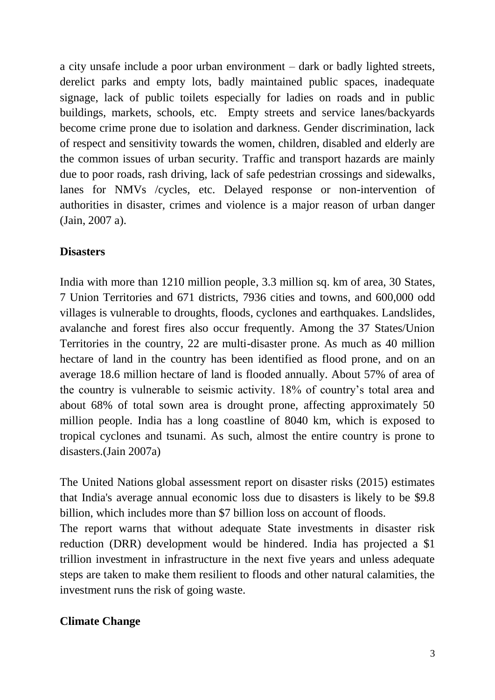a city unsafe include a poor urban environment – dark or badly lighted streets, derelict parks and empty lots, badly maintained public spaces, inadequate signage, lack of public toilets especially for ladies on roads and in public buildings, markets, schools, etc. Empty streets and service lanes/backyards become crime prone due to isolation and darkness. Gender discrimination, lack of respect and sensitivity towards the women, children, disabled and elderly are the common issues of urban security. Traffic and transport hazards are mainly due to poor roads, rash driving, lack of safe pedestrian crossings and sidewalks, lanes for NMVs /cycles, etc. Delayed response or non-intervention of authorities in disaster, crimes and violence is a major reason of urban danger (Jain, 2007 a).

#### **Disasters**

India with more than 1210 million people, 3.3 million sq. km of area, 30 States, 7 Union Territories and 671 districts, 7936 cities and towns, and 600,000 odd villages is vulnerable to droughts, floods, cyclones and earthquakes. Landslides, avalanche and forest fires also occur frequently. Among the 37 States/Union Territories in the country, 22 are multi-disaster prone. As much as 40 million hectare of land in the country has been identified as flood prone, and on an average 18.6 million hectare of land is flooded annually. About 57% of area of the country is vulnerable to seismic activity. 18% of country's total area and about 68% of total sown area is drought prone, affecting approximately 50 million people. India has a long coastline of 8040 km, which is exposed to tropical cyclones and tsunami. As such, almost the entire country is prone to disasters.(Jain 2007a)

The United Nations global assessment report on disaster risks (2015) estimates that India's average annual economic loss due to disasters is likely to be \$9.8 billion, which includes more than \$7 billion loss on account of floods.

The report warns that without adequate State investments in disaster risk reduction (DRR) development would be hindered. India has projected a \$1 trillion investment in infrastructure in the next five years and unless adequate steps are taken to make them resilient to floods and other natural calamities, the investment runs the risk of going waste.

## **Climate Change**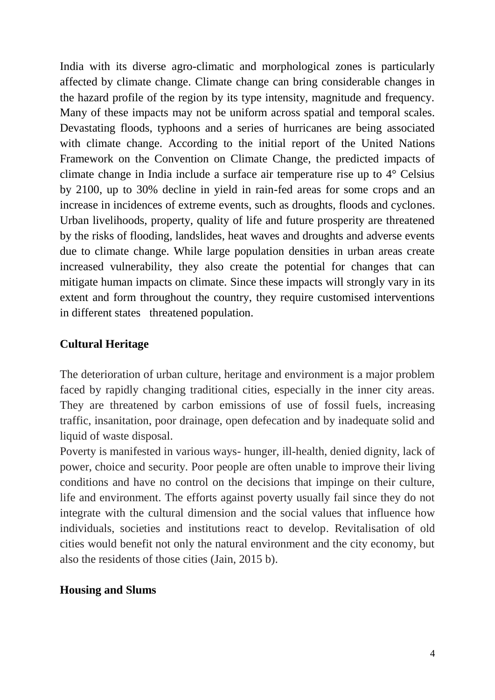India with its diverse agro-climatic and morphological zones is particularly affected by climate change. Climate change can bring considerable changes in the hazard profile of the region by its type intensity, magnitude and frequency. Many of these impacts may not be uniform across spatial and temporal scales. Devastating floods, typhoons and a series of hurricanes are being associated with climate change. According to the initial report of the United Nations Framework on the Convention on Climate Change, the predicted impacts of climate change in India include a surface air temperature rise up to 4° Celsius by 2100, up to 30% decline in yield in rain-fed areas for some crops and an increase in incidences of extreme events, such as droughts, floods and cyclones. Urban livelihoods, property, quality of life and future prosperity are threatened by the risks of flooding, landslides, heat waves and droughts and adverse events due to climate change. While large population densities in urban areas create increased vulnerability, they also create the potential for changes that can mitigate human impacts on climate. Since these impacts will strongly vary in its extent and form throughout the country, they require customised interventions in different states threatened population.

#### **Cultural Heritage**

The deterioration of urban culture, heritage and environment is a major problem faced by rapidly changing traditional cities, especially in the inner city areas. They are threatened by carbon emissions of use of fossil fuels, increasing traffic, insanitation, poor drainage, open defecation and by inadequate solid and liquid of waste disposal.

Poverty is manifested in various ways- hunger, ill-health, denied dignity, lack of power, choice and security. Poor people are often unable to improve their living conditions and have no control on the decisions that impinge on their culture, life and environment. The efforts against poverty usually fail since they do not integrate with the cultural dimension and the social values that influence how individuals, societies and institutions react to develop. Revitalisation of old cities would benefit not only the natural environment and the city economy, but also the residents of those cities (Jain, 2015 b).

#### **Housing and Slums**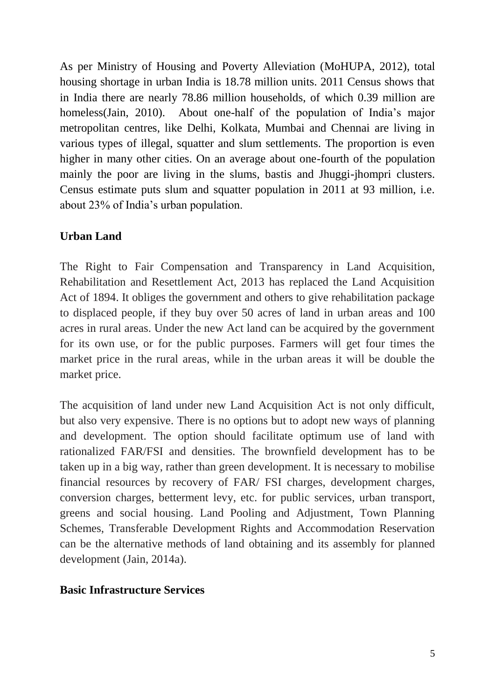As per Ministry of Housing and Poverty Alleviation (MoHUPA, 2012), total housing shortage in urban India is 18.78 million units. 2011 Census shows that in India there are nearly 78.86 million households, of which 0.39 million are homeless(Jain, 2010). About one-half of the population of India's major metropolitan centres, like Delhi, Kolkata, Mumbai and Chennai are living in various types of illegal, squatter and slum settlements. The proportion is even higher in many other cities. On an average about one-fourth of the population mainly the poor are living in the slums, bastis and Jhuggi-jhompri clusters. Census estimate puts slum and squatter population in 2011 at 93 million, i.e. about 23% of India's urban population.

## **Urban Land**

The Right to Fair Compensation and Transparency in Land Acquisition, Rehabilitation and Resettlement Act, 2013 has replaced the Land Acquisition Act of 1894. It obliges the government and others to give rehabilitation package to displaced people, if they buy over 50 acres of land in urban areas and 100 acres in rural areas. Under the new Act land can be acquired by the government for its own use, or for the public purposes. Farmers will get four times the market price in the rural areas, while in the urban areas it will be double the market price.

The acquisition of land under new Land Acquisition Act is not only difficult, but also very expensive. There is no options but to adopt new ways of planning and development. The option should facilitate optimum use of land with rationalized FAR/FSI and densities. The brownfield development has to be taken up in a big way, rather than green development. It is necessary to mobilise financial resources by recovery of FAR/ FSI charges, development charges, conversion charges, betterment levy, etc. for public services, urban transport, greens and social housing. Land Pooling and Adjustment, Town Planning Schemes, Transferable Development Rights and Accommodation Reservation can be the alternative methods of land obtaining and its assembly for planned development (Jain, 2014a).

## **Basic Infrastructure Services**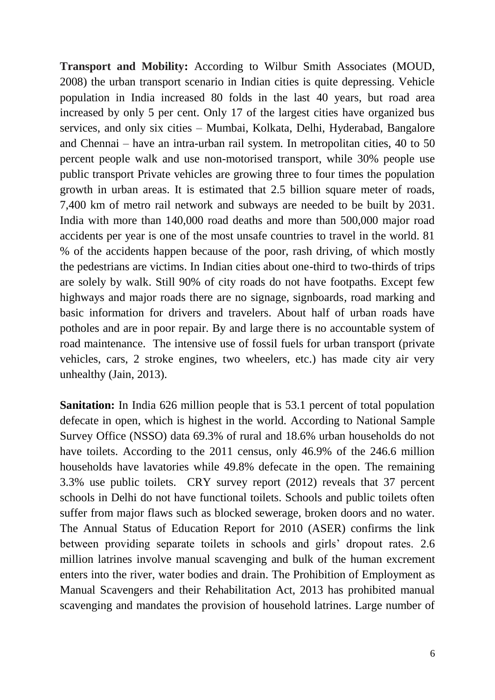**Transport and Mobility:** According to Wilbur Smith Associates (MOUD, 2008) the urban transport scenario in Indian cities is quite depressing. Vehicle population in India increased 80 folds in the last 40 years, but road area increased by only 5 per cent. Only 17 of the largest cities have organized bus services, and only six cities – Mumbai, Kolkata, Delhi, Hyderabad, Bangalore and Chennai – have an intra-urban rail system. In metropolitan cities, 40 to 50 percent people walk and use non-motorised transport, while 30% people use public transport Private vehicles are growing three to four times the population growth in urban areas. It is estimated that 2.5 billion square meter of roads, 7,400 km of metro rail network and subways are needed to be built by 2031. India with more than 140,000 road deaths and more than 500,000 major road accidents per year is one of the most unsafe countries to travel in the world. 81 % of the accidents happen because of the poor, rash driving, of which mostly the pedestrians are victims. In Indian cities about one-third to two-thirds of trips are solely by walk. Still 90% of city roads do not have footpaths. Except few highways and major roads there are no signage, signboards, road marking and basic information for drivers and travelers. About half of urban roads have potholes and are in poor repair. By and large there is no accountable system of road maintenance. The intensive use of fossil fuels for urban transport (private vehicles, cars, 2 stroke engines, two wheelers, etc.) has made city air very unhealthy (Jain, 2013).

**Sanitation:** In India 626 million people that is 53.1 percent of total population defecate in open, which is highest in the world. According to National Sample Survey Office (NSSO) data 69.3% of rural and 18.6% urban households do not have toilets. According to the 2011 census, only 46.9% of the 246.6 million households have lavatories while 49.8% defecate in the open. The remaining 3.3% use public toilets. CRY survey report (2012) reveals that 37 percent schools in Delhi do not have functional toilets. Schools and public toilets often suffer from major flaws such as blocked sewerage, broken doors and no water. The Annual Status of Education Report for 2010 (ASER) confirms the link between providing separate toilets in schools and girls' dropout rates. 2.6 million latrines involve manual scavenging and bulk of the human excrement enters into the river, water bodies and drain. The Prohibition of Employment as Manual Scavengers and their Rehabilitation Act, 2013 has prohibited manual scavenging and mandates the provision of household latrines. Large number of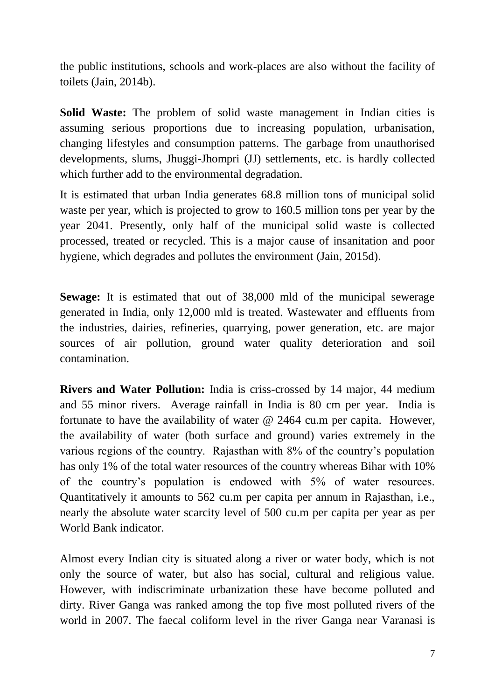the public institutions, schools and work-places are also without the facility of toilets (Jain, 2014b).

**Solid Waste:** The problem of solid waste management in Indian cities is assuming serious proportions due to increasing population, urbanisation, changing lifestyles and consumption patterns. The garbage from unauthorised developments, slums, Jhuggi-Jhompri (JJ) settlements, etc. is hardly collected which further add to the environmental degradation.

It is estimated that urban India generates 68.8 million tons of municipal solid waste per year, which is projected to grow to 160.5 million tons per year by the year 2041. Presently, only half of the municipal solid waste is collected processed, treated or recycled. This is a major cause of insanitation and poor hygiene, which degrades and pollutes the environment (Jain, 2015d).

**Sewage:** It is estimated that out of 38,000 mld of the municipal sewerage generated in India, only 12,000 mld is treated. Wastewater and effluents from the industries, dairies, refineries, quarrying, power generation, etc. are major sources of air pollution, ground water quality deterioration and soil contamination.

**Rivers and Water Pollution:** India is criss-crossed by 14 major, 44 medium and 55 minor rivers. Average rainfall in India is 80 cm per year. India is fortunate to have the availability of water @ 2464 cu.m per capita. However, the availability of water (both surface and ground) varies extremely in the various regions of the country. Rajasthan with 8% of the country's population has only 1% of the total water resources of the country whereas Bihar with 10% of the country's population is endowed with 5% of water resources. Quantitatively it amounts to 562 cu.m per capita per annum in Rajasthan, i.e., nearly the absolute water scarcity level of 500 cu.m per capita per year as per World Bank indicator.

Almost every Indian city is situated along a river or water body, which is not only the source of water, but also has social, cultural and religious value. However, with indiscriminate urbanization these have become polluted and dirty. River Ganga was ranked among the top five most polluted rivers of the world in 2007. The faecal coliform level in the river Ganga near Varanasi is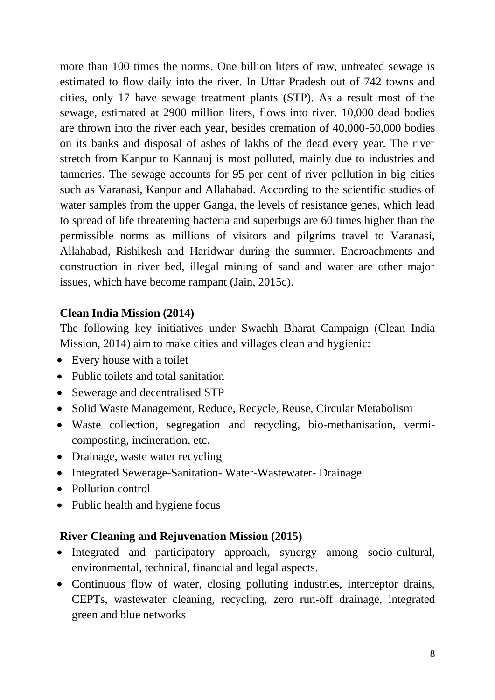more than 100 times the norms. One billion liters of raw, untreated sewage is estimated to flow daily into the river. In Uttar Pradesh out of 742 towns and cities, only 17 have sewage treatment plants (STP). As a result most of the sewage, estimated at 2900 million liters, flows into river. 10,000 dead bodies are thrown into the river each year, besides cremation of 40,000-50,000 bodies on its banks and disposal of ashes of lakhs of the dead every year. The river stretch from Kanpur to Kannauj is most polluted, mainly due to industries and tanneries. The sewage accounts for 95 per cent of river pollution in big cities such as Varanasi, Kanpur and Allahabad. According to the scientific studies of water samples from the upper Ganga, the levels of resistance genes, which lead to spread of life threatening bacteria and superbugs are 60 times higher than the permissible norms as millions of visitors and pilgrims travel to Varanasi, Allahabad, Rishikesh and Haridwar during the summer. Encroachments and construction in river bed, illegal mining of sand and water are other major issues, which have become rampant (Jain, 2015c).

#### **Clean India Mission (2014)**

The following key initiatives under Swachh Bharat Campaign (Clean India Mission, 2014) aim to make cities and villages clean and hygienic:

- Every house with a toilet
- Public toilets and total sanitation
- Sewerage and decentralised STP
- Solid Waste Management, Reduce, Recycle, Reuse, Circular Metabolism
- Waste collection, segregation and recycling, bio-methanisation, vermicomposting, incineration, etc.
- Drainage, waste water recycling
- Integrated Sewerage-Sanitation-Water-Wastewater-Drainage
- Pollution control
- Public health and hygiene focus

## **River Cleaning and Rejuvenation Mission (2015)**

- Integrated and participatory approach, synergy among socio-cultural, environmental, technical, financial and legal aspects.
- Continuous flow of water, closing polluting industries, interceptor drains, CEPTs, wastewater cleaning, recycling, zero run-off drainage, integrated green and blue networks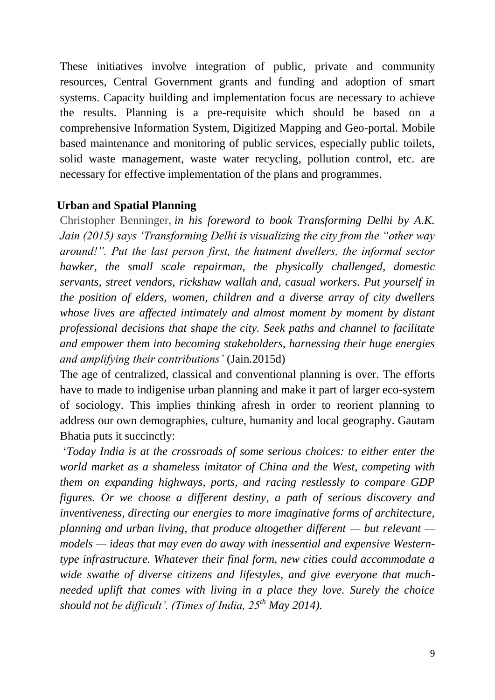These initiatives involve integration of public, private and community resources, Central Government grants and funding and adoption of smart systems. Capacity building and implementation focus are necessary to achieve the results. Planning is a pre-requisite which should be based on a comprehensive Information System, Digitized Mapping and Geo-portal. Mobile based maintenance and monitoring of public services, especially public toilets, solid waste management, waste water recycling, pollution control, etc. are necessary for effective implementation of the plans and programmes.

#### **Urban and Spatial Planning**

Christopher Benninger, *in his foreword to book Transforming Delhi by A.K. Jain (2015) says 'Transforming Delhi is visualizing the city from the "other way around!". Put the last person first, the hutment dwellers, the informal sector hawker, the small scale repairman, the physically challenged, domestic servants, street vendors, rickshaw wallah and, casual workers. Put yourself in the position of elders, women, children and a diverse array of city dwellers whose lives are affected intimately and almost moment by moment by distant professional decisions that shape the city. Seek paths and channel to facilitate and empower them into becoming stakeholders, harnessing their huge energies and amplifying their contributions'* (Jain*.*2015d)

The age of centralized, classical and conventional planning is over. The efforts have to made to indigenise urban planning and make it part of larger eco-system of sociology. This implies thinking afresh in order to reorient planning to address our own demographies, culture, humanity and local geography. Gautam Bhatia puts it succinctly:

'*Today India is at the crossroads of some serious choices: to either enter the world market as a shameless imitator of China and the West, competing with them on expanding highways, ports, and racing restlessly to compare GDP figures. Or we choose a different destiny, a path of serious discovery and inventiveness, directing our energies to more imaginative forms of architecture, planning and urban living, that produce altogether different — but relevant models — ideas that may even do away with inessential and expensive Westerntype infrastructure. Whatever their final form, new cities could accommodate a wide swathe of diverse citizens and lifestyles, and give everyone that muchneeded uplift that comes with living in a place they love. Surely the choice should not be difficult'. (Times of India, 25th May 2014).*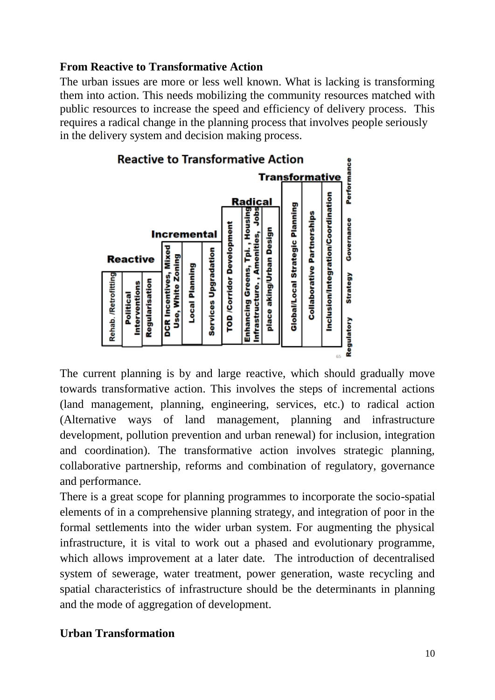## **From Reactive to Transformative Action**

The urban issues are more or less well known. What is lacking is transforming them into action. This needs mobilizing the community resources matched with public resources to increase the speed and efficiency of delivery process. This requires a radical change in the planning process that involves people seriously in the delivery system and decision making process.



The current planning is by and large reactive, which should gradually move towards transformative action. This involves the steps of incremental actions (land management, planning, engineering, services, etc.) to radical action (Alternative ways of land management, planning and infrastructure development, pollution prevention and urban renewal) for inclusion, integration and coordination). The transformative action involves strategic planning, collaborative partnership, reforms and combination of regulatory, governance and performance.

There is a great scope for planning programmes to incorporate the socio-spatial elements of in a comprehensive planning strategy, and integration of poor in the formal settlements into the wider urban system. For augmenting the physical infrastructure, it is vital to work out a phased and evolutionary programme, which allows improvement at a later date. The introduction of decentralised system of sewerage, water treatment, power generation, waste recycling and spatial characteristics of infrastructure should be the determinants in planning and the mode of aggregation of development.

# **Urban Transformation**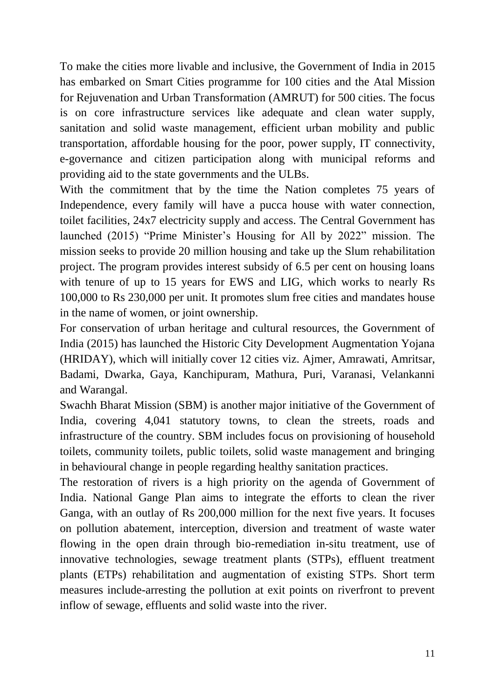To make the cities more livable and inclusive, the Government of India in 2015 has embarked on Smart Cities programme for 100 cities and the Atal Mission for Rejuvenation and Urban Transformation (AMRUT) for 500 cities. The focus is on core infrastructure services like adequate and clean water supply, sanitation and solid waste management, efficient urban mobility and public transportation, affordable housing for the poor, power supply, IT connectivity, e-governance and citizen participation along with municipal reforms and providing aid to the state governments and the ULBs.

With the commitment that by the time the Nation completes 75 years of Independence, every family will have a pucca house with water connection, toilet facilities, 24x7 electricity supply and access. The Central Government has launched (2015) "Prime Minister's Housing for All by 2022" mission. The mission seeks to provide 20 million housing and take up the Slum rehabilitation project. The program provides interest subsidy of 6.5 per cent on housing loans with tenure of up to 15 years for EWS and LIG, which works to nearly Rs 100,000 to Rs 230,000 per unit. It promotes slum free cities and mandates house in the name of women, or joint ownership.

For conservation of urban heritage and cultural resources, the Government of India (2015) has launched the Historic City Development Augmentation Yojana (HRIDAY), which will initially cover 12 cities viz. Ajmer, Amrawati, Amritsar, Badami, Dwarka, Gaya, Kanchipuram, Mathura, Puri, Varanasi, Velankanni and Warangal.

Swachh Bharat Mission (SBM) is another major initiative of the Government of India, covering 4,041 statutory towns, to clean the streets, roads and infrastructure of the country. SBM includes focus on provisioning of household toilets, community toilets, public toilets, solid waste management and bringing in behavioural change in people regarding healthy sanitation practices.

The restoration of rivers is a high priority on the agenda of Government of India. National Gange Plan aims to integrate the efforts to clean the river Ganga, with an outlay of Rs 200,000 million for the next five years. It focuses on pollution abatement, interception, diversion and treatment of waste water flowing in the open drain through bio-remediation in-situ treatment, use of innovative technologies, sewage treatment plants (STPs), effluent treatment plants (ETPs) rehabilitation and augmentation of existing STPs. Short term measures include-arresting the pollution at exit points on riverfront to prevent inflow of sewage, effluents and solid waste into the river.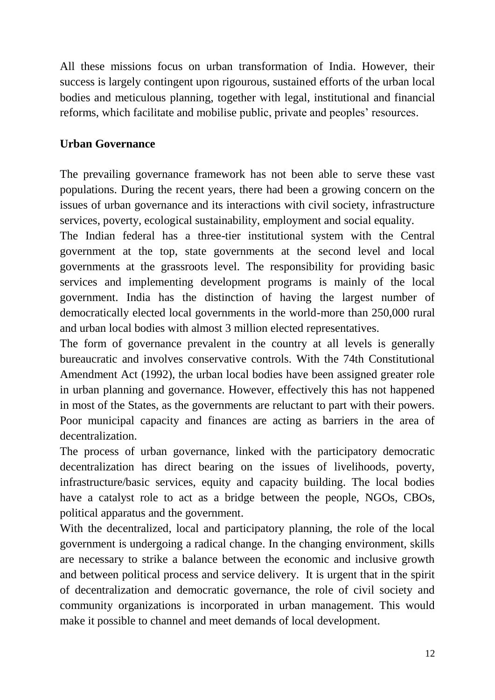All these missions focus on urban transformation of India. However, their success is largely contingent upon rigourous, sustained efforts of the urban local bodies and meticulous planning, together with legal, institutional and financial reforms, which facilitate and mobilise public, private and peoples' resources.

## **Urban Governance**

The prevailing governance framework has not been able to serve these vast populations. During the recent years, there had been a growing concern on the issues of urban governance and its interactions with civil society, infrastructure services, poverty, ecological sustainability, employment and social equality.

The Indian federal has a three-tier institutional system with the Central government at the top, state governments at the second level and local governments at the grassroots level. The responsibility for providing basic services and implementing development programs is mainly of the local government. India has the distinction of having the largest number of democratically elected local governments in the world-more than 250,000 rural and urban local bodies with almost 3 million elected representatives.

The form of governance prevalent in the country at all levels is generally bureaucratic and involves conservative controls. With the 74th Constitutional Amendment Act (1992), the urban local bodies have been assigned greater role in urban planning and governance. However, effectively this has not happened in most of the States, as the governments are reluctant to part with their powers. Poor municipal capacity and finances are acting as barriers in the area of decentralization.

The process of urban governance, linked with the participatory democratic decentralization has direct bearing on the issues of livelihoods, poverty, infrastructure/basic services, equity and capacity building. The local bodies have a catalyst role to act as a bridge between the people, NGOs, CBOs, political apparatus and the government.

With the decentralized, local and participatory planning, the role of the local government is undergoing a radical change. In the changing environment, skills are necessary to strike a balance between the economic and inclusive growth and between political process and service delivery. It is urgent that in the spirit of decentralization and democratic governance, the role of civil society and community organizations is incorporated in urban management. This would make it possible to channel and meet demands of local development.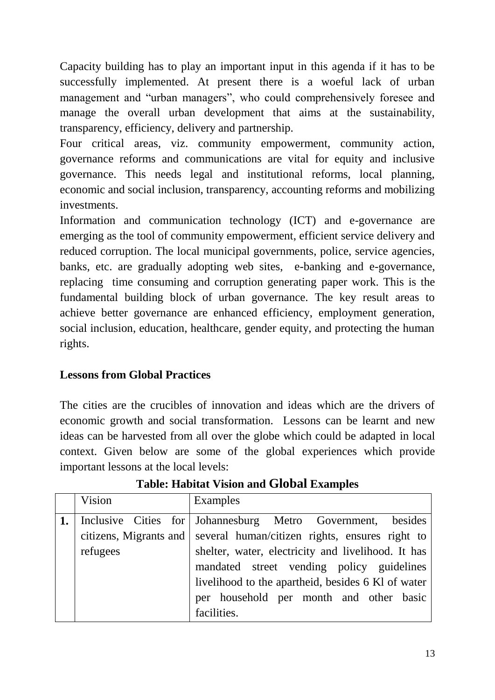Capacity building has to play an important input in this agenda if it has to be successfully implemented. At present there is a woeful lack of urban management and "urban managers", who could comprehensively foresee and manage the overall urban development that aims at the sustainability, transparency, efficiency, delivery and partnership.

Four critical areas, viz. community empowerment, community action, governance reforms and communications are vital for equity and inclusive governance. This needs legal and institutional reforms, local planning, economic and social inclusion, transparency, accounting reforms and mobilizing investments.

Information and communication technology (ICT) and e-governance are emerging as the tool of community empowerment, efficient service delivery and reduced corruption. The local municipal governments, police, service agencies, banks, etc. are gradually adopting web sites, e-banking and e-governance, replacing time consuming and corruption generating paper work. This is the fundamental building block of urban governance. The key result areas to achieve better governance are enhanced efficiency, employment generation, social inclusion, education, healthcare, gender equity, and protecting the human rights.

# **Lessons from Global Practices**

The cities are the crucibles of innovation and ideas which are the drivers of economic growth and social transformation. Lessons can be learnt and new ideas can be harvested from all over the globe which could be adapted in local context. Given below are some of the global experiences which provide important lessons at the local levels:

| Vision   | Examples                                                                                                                                                                                                                                                                                      |
|----------|-----------------------------------------------------------------------------------------------------------------------------------------------------------------------------------------------------------------------------------------------------------------------------------------------|
| refugees | Inclusive Cities for Johannesburg Metro Government, besides<br>citizens, Migrants and several human/citizen rights, ensures right to<br>shelter, water, electricity and livelihood. It has<br>mandated street vending policy guidelines<br>livelihood to the apartheid, besides 6 Kl of water |
|          | per household per month and other basic<br>facilities.                                                                                                                                                                                                                                        |

# **Table: Habitat Vision and Global Examples**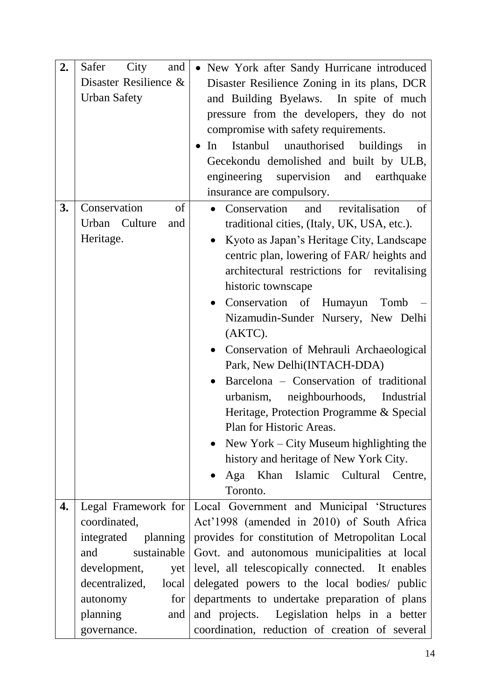| 2. | City<br>Safer<br>and         | • New York after Sandy Hurricane introduced     |
|----|------------------------------|-------------------------------------------------|
|    | Disaster Resilience &        | Disaster Resilience Zoning in its plans, DCR    |
|    | <b>Urban Safety</b>          | and Building Byelaws. In spite of much          |
|    |                              | pressure from the developers, they do not       |
|    |                              | compromise with safety requirements.            |
|    |                              | Istanbul unauthorised buildings<br>In<br>in     |
|    |                              | Gecekondu demolished and built by ULB,          |
|    |                              | engineering supervision and earthquake          |
|    |                              | insurance are compulsory.                       |
| 3. | Conservation<br>of           | Conservation<br>revitalisation<br>and<br>of     |
|    | Urban Culture<br>and         | traditional cities, (Italy, UK, USA, etc.).     |
|    | Heritage.                    | Kyoto as Japan's Heritage City, Landscape       |
|    |                              | centric plan, lowering of FAR/ heights and      |
|    |                              | architectural restrictions for revitalising     |
|    |                              | historic townscape                              |
|    |                              | Conservation of<br>Humayun<br>Tomb              |
|    |                              |                                                 |
|    |                              | Nizamudin-Sunder Nursery, New Delhi<br>(AKTC).  |
|    |                              |                                                 |
|    |                              | • Conservation of Mehrauli Archaeological       |
|    |                              | Park, New Delhi(INTACH-DDA)                     |
|    |                              | Barcelona - Conservation of traditional         |
|    |                              | urbanism, neighbourhoods, Industrial            |
|    |                              | Heritage, Protection Programme & Special        |
|    |                              | Plan for Historic Areas.                        |
|    |                              | • New York – City Museum highlighting the       |
|    |                              | history and heritage of New York City.          |
|    |                              | Aga Khan Islamic Cultural Centre,               |
|    |                              | Toronto.                                        |
| 4. | Legal Framework for          | Local Government and Municipal 'Structures      |
|    | coordinated,                 | Act'1998 (amended in 2010) of South Africa      |
|    | planning<br>integrated       | provides for constitution of Metropolitan Local |
|    | sustainable<br>and           | Govt. and autonomous municipalities at local    |
|    | development,<br>yet          | level, all telescopically connected. It enables |
|    | decentralized,<br>local      | delegated powers to the local bodies/ public    |
|    | for <sub>1</sub><br>autonomy | departments to undertake preparation of plans   |
|    | planning<br>and              | and projects. Legislation helps in a better     |
|    | governance.                  | coordination, reduction of creation of several  |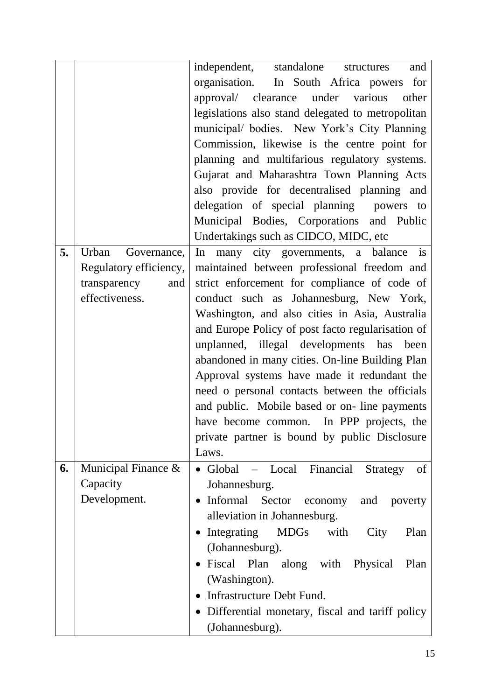|    |                        | independent, standalone<br>and<br>structures      |
|----|------------------------|---------------------------------------------------|
|    |                        | organisation. In South Africa powers<br>for       |
|    |                        | approval/ clearance under various<br>other        |
|    |                        | legislations also stand delegated to metropolitan |
|    |                        | municipal/ bodies. New York's City Planning       |
|    |                        | Commission, likewise is the centre point for      |
|    |                        | planning and multifarious regulatory systems.     |
|    |                        | Gujarat and Maharashtra Town Planning Acts        |
|    |                        | also provide for decentralised planning and       |
|    |                        | delegation of special planning powers to          |
|    |                        |                                                   |
|    |                        | Municipal Bodies, Corporations and Public         |
|    |                        | Undertakings such as CIDCO, MIDC, etc             |
| 5. | Urban<br>Governance,   | In many city governments, a balance is            |
|    | Regulatory efficiency, | maintained between professional freedom and       |
|    | transparency<br>and    | strict enforcement for compliance of code of      |
|    | effectiveness.         | conduct such as Johannesburg, New York,           |
|    |                        | Washington, and also cities in Asia, Australia    |
|    |                        | and Europe Policy of post facto regularisation of |
|    |                        | unplanned, illegal developments has been          |
|    |                        | abandoned in many cities. On-line Building Plan   |
|    |                        | Approval systems have made it redundant the       |
|    |                        | need o personal contacts between the officials    |
|    |                        | and public. Mobile based or on-line payments      |
|    |                        | have become common. In PPP projects, the          |
|    |                        | private partner is bound by public Disclosure     |
|    |                        | Laws.                                             |
| 6. | Municipal Finance &    | of<br>- Local Financial<br>• Global<br>Strategy   |
|    | Capacity               | Johannesburg.                                     |
|    | Development.           | Informal Sector<br>economy and poverty            |
|    |                        | alleviation in Johannesburg.                      |
|    |                        |                                                   |
|    |                        | Integrating<br>MDGs with<br>City<br>Plan          |
|    |                        | (Johannesburg).                                   |
|    |                        | • Fiscal Plan along with Physical<br>Plan         |
|    |                        | (Washington).                                     |
|    |                        | Infrastructure Debt Fund.                         |
|    |                        | • Differential monetary, fiscal and tariff policy |
|    |                        | (Johannesburg).                                   |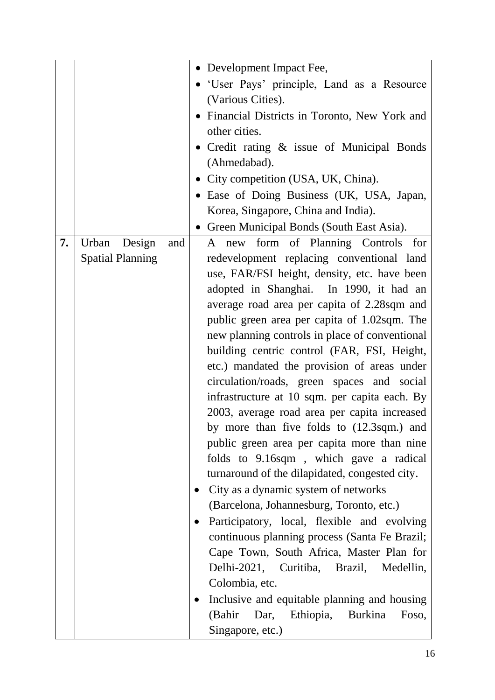|    |                         | • Development Impact Fee,                                |
|----|-------------------------|----------------------------------------------------------|
|    |                         | 'User Pays' principle, Land as a Resource                |
|    |                         | (Various Cities).                                        |
|    |                         | Financial Districts in Toronto, New York and             |
|    |                         | other cities.                                            |
|    |                         | • Credit rating & issue of Municipal Bonds               |
|    |                         | (Ahmedabad).                                             |
|    |                         | • City competition (USA, UK, China).                     |
|    |                         | • Ease of Doing Business (UK, USA, Japan,                |
|    |                         |                                                          |
|    |                         | Korea, Singapore, China and India).                      |
|    |                         | • Green Municipal Bonds (South East Asia).               |
| 7. | Urban<br>Design<br>and  | A new form of Planning Controls<br>for                   |
|    | <b>Spatial Planning</b> | redevelopment replacing conventional land                |
|    |                         | use, FAR/FSI height, density, etc. have been             |
|    |                         | adopted in Shanghai. In 1990, it had an                  |
|    |                         | average road area per capita of 2.28sqm and              |
|    |                         | public green area per capita of 1.02sqm. The             |
|    |                         | new planning controls in place of conventional           |
|    |                         | building centric control (FAR, FSI, Height,              |
|    |                         | etc.) mandated the provision of areas under              |
|    |                         | circulation/roads, green spaces and social               |
|    |                         | infrastructure at 10 sqm. per capita each. By            |
|    |                         | 2003, average road area per capita increased             |
|    |                         | by more than five folds to (12.3sqm.) and                |
|    |                         | public green area per capita more than nine              |
|    |                         | folds to 9.16sqm, which gave a radical                   |
|    |                         | turnaround of the dilapidated, congested city.           |
|    |                         | City as a dynamic system of networks                     |
|    |                         | (Barcelona, Johannesburg, Toronto, etc.)                 |
|    |                         | Participatory, local, flexible and evolving<br>$\bullet$ |
|    |                         | continuous planning process (Santa Fe Brazil;            |
|    |                         | Cape Town, South Africa, Master Plan for                 |
|    |                         | Delhi-2021, Curitiba, Brazil, Medellin,                  |
|    |                         | Colombia, etc.                                           |
|    |                         | Inclusive and equitable planning and housing             |
|    |                         | (Bahir Dar, Ethiopia,<br>Burkina<br>Foso,                |
|    |                         | Singapore, etc.)                                         |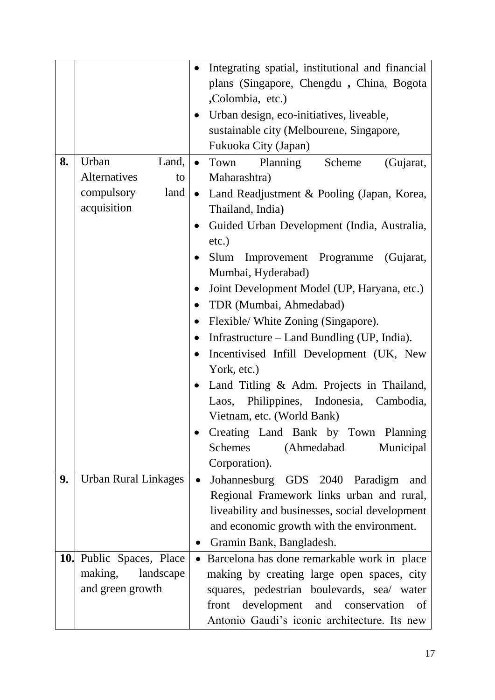| 8. | Urban<br>Land,                                                       | Integrating spatial, institutional and financial<br>$\bullet$<br>plans (Singapore, Chengdu, China, Bogota<br>,Colombia, etc.)<br>Urban design, eco-initiatives, liveable,<br>$\bullet$<br>sustainable city (Melbourene, Singapore,<br>Fukuoka City (Japan)<br>(Gujarat,<br>Town<br>Planning<br>Scheme<br>$\bullet$                                                                                                                                                                                                                                                                                                                                                                                                                                                   |
|----|----------------------------------------------------------------------|----------------------------------------------------------------------------------------------------------------------------------------------------------------------------------------------------------------------------------------------------------------------------------------------------------------------------------------------------------------------------------------------------------------------------------------------------------------------------------------------------------------------------------------------------------------------------------------------------------------------------------------------------------------------------------------------------------------------------------------------------------------------|
|    | <b>Alternatives</b><br>to<br>compulsory<br>land<br>acquisition       | Maharashtra)<br>Land Readjustment & Pooling (Japan, Korea,<br>$\bullet$<br>Thailand, India)<br>Guided Urban Development (India, Australia,<br>$\bullet$<br>$etc.$ )<br>Slum<br>Improvement Programme (Gujarat,<br>$\bullet$<br>Mumbai, Hyderabad)<br>Joint Development Model (UP, Haryana, etc.)<br>$\bullet$<br>TDR (Mumbai, Ahmedabad)<br>$\bullet$<br>Flexible/ White Zoning (Singapore).<br>$\bullet$<br>Infrastructure – Land Bundling (UP, India).<br>$\bullet$<br>Incentivised Infill Development (UK, New<br>$\bullet$<br>York, etc.)<br>Land Titling & Adm. Projects in Thailand,<br>$\bullet$<br>Laos, Philippines, Indonesia, Cambodia,<br>Vietnam, etc. (World Bank)<br>Creating Land Bank by Town Planning<br><b>Schemes</b><br>(Ahmedabad<br>Municipal |
| 9. | <b>Urban Rural Linkages</b>                                          | Corporation).<br>Johannesburg GDS 2040 Paradigm<br>and<br>$\bullet$<br>Regional Framework links urban and rural,<br>liveability and businesses, social development<br>and economic growth with the environment.<br>Gramin Bank, Bangladesh.<br>$\bullet$                                                                                                                                                                                                                                                                                                                                                                                                                                                                                                             |
|    | 10. Public Spaces, Place<br>making,<br>landscape<br>and green growth | Barcelona has done remarkable work in place<br>$\bullet$<br>making by creating large open spaces, city<br>squares, pedestrian boulevards, sea/ water<br>front development and conservation<br>of<br>Antonio Gaudi's iconic architecture. Its new                                                                                                                                                                                                                                                                                                                                                                                                                                                                                                                     |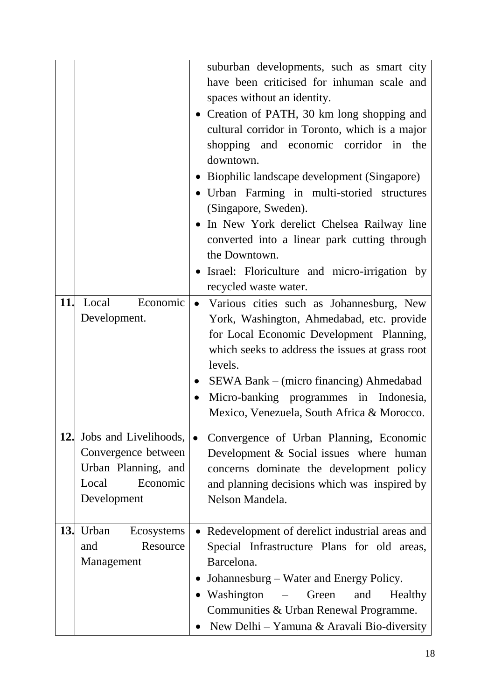|     |                                                                                                         | suburban developments, such as smart city<br>have been criticised for inhuman scale and<br>spaces without an identity.<br>• Creation of PATH, 30 km long shopping and<br>cultural corridor in Toronto, which is a major<br>shopping and economic corridor in the<br>downtown.<br>• Biophilic landscape development (Singapore)<br>• Urban Farming in multi-storied structures                                                                                                                                                                                                                                                                                                   |
|-----|---------------------------------------------------------------------------------------------------------|---------------------------------------------------------------------------------------------------------------------------------------------------------------------------------------------------------------------------------------------------------------------------------------------------------------------------------------------------------------------------------------------------------------------------------------------------------------------------------------------------------------------------------------------------------------------------------------------------------------------------------------------------------------------------------|
|     |                                                                                                         | (Singapore, Sweden).<br>In New York derelict Chelsea Railway line<br>converted into a linear park cutting through<br>the Downtown.<br>• Israel: Floriculture and micro-irrigation by<br>recycled waste water.                                                                                                                                                                                                                                                                                                                                                                                                                                                                   |
| 11. | Local<br>Economic<br>Development.                                                                       | · Various cities such as Johannesburg, New<br>York, Washington, Ahmedabad, etc. provide<br>for Local Economic Development Planning,<br>which seeks to address the issues at grass root<br>levels.<br>SEWA Bank – (micro financing) Ahmedabad<br>Micro-banking programmes in Indonesia,<br>Mexico, Venezuela, South Africa & Morocco.                                                                                                                                                                                                                                                                                                                                            |
| 12. | Jobs and Livelihoods,<br>Convergence between<br>Urban Planning, and<br>Economic<br>Local<br>Development | Convergence of Urban Planning, Economic<br>Development & Social issues where human<br>concerns dominate the development policy<br>and planning decisions which was inspired by<br>Nelson Mandela.                                                                                                                                                                                                                                                                                                                                                                                                                                                                               |
| 13. | Urban<br>Ecosystems<br>Resource<br>and<br>Management                                                    | Redevelopment of derelict industrial areas and<br>Special Infrastructure Plans for old areas,<br>Barcelona.<br>Johannesburg – Water and Energy Policy.<br>Washington<br>Green<br>Healthy<br>$\overline{a}$ $\overline{a}$ $\overline{a}$ $\overline{a}$ $\overline{a}$ $\overline{a}$ $\overline{a}$ $\overline{a}$ $\overline{a}$ $\overline{a}$ $\overline{a}$ $\overline{a}$ $\overline{a}$ $\overline{a}$ $\overline{a}$ $\overline{a}$ $\overline{a}$ $\overline{a}$ $\overline{a}$ $\overline{a}$ $\overline{a}$ $\overline{a}$ $\overline{a}$ $\overline{a}$ $\overline{$<br>and<br>Communities & Urban Renewal Programme.<br>New Delhi – Yamuna & Aravali Bio-diversity |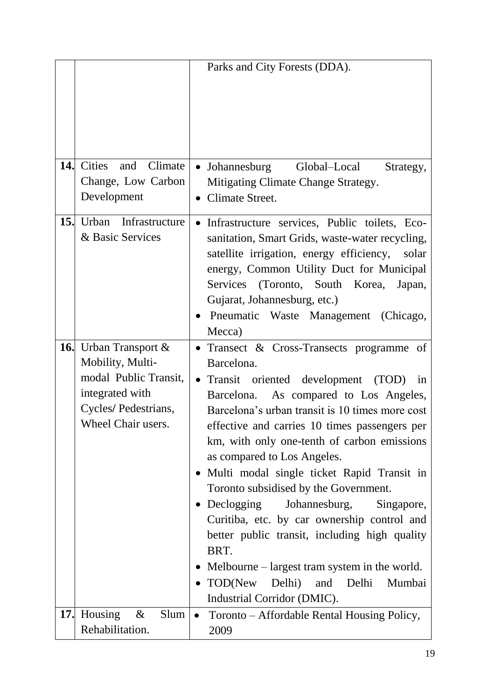|     |                              | Parks and City Forests (DDA).                              |
|-----|------------------------------|------------------------------------------------------------|
|     |                              |                                                            |
| 14. | and Climate<br><b>Cities</b> | Global-Local<br>$\bullet$ Johannesburg<br>Strategy,        |
|     | Change, Low Carbon           | Mitigating Climate Change Strategy.                        |
|     | Development                  | Climate Street.                                            |
|     |                              |                                                            |
| 15. | Urban Infrastructure         | Infrastructure services, Public toilets, Eco-              |
|     | & Basic Services             | sanitation, Smart Grids, waste-water recycling,            |
|     |                              | satellite irrigation, energy efficiency,<br>solar          |
|     |                              | energy, Common Utility Duct for Municipal                  |
|     |                              | Services (Toronto, South Korea,<br>Japan,                  |
|     |                              | Gujarat, Johannesburg, etc.)                               |
|     |                              | Pneumatic Waste Management (Chicago,                       |
|     |                              | Mecca)                                                     |
|     | <b>16.</b> Urban Transport & | Transect & Cross-Transects programme of<br>$\bullet$       |
|     | Mobility, Multi-             | Barcelona.                                                 |
|     | modal Public Transit,        | Transit oriented development (TOD)<br>$\bullet$<br>in      |
|     | integrated with              | As compared to Los Angeles,<br>Barcelona.                  |
|     | Cycles/ Pedestrians,         | Barcelona's urban transit is 10 times more cost            |
|     | Wheel Chair users.           | effective and carries 10 times passengers per              |
|     |                              | km, with only one-tenth of carbon emissions                |
|     |                              | as compared to Los Angeles.                                |
|     |                              | • Multi modal single ticket Rapid Transit in               |
|     |                              | Toronto subsidised by the Government.                      |
|     |                              | $\bullet$ Declogging<br>Johannesburg,<br>Singapore,        |
|     |                              | Curitiba, etc. by car ownership control and                |
|     |                              | better public transit, including high quality              |
|     |                              | BRT.                                                       |
|     |                              | Melbourne – largest tram system in the world.<br>$\bullet$ |
|     |                              | TOD(New<br>Delhi)<br>and<br>Delhi<br>Mumbai                |
|     |                              | Industrial Corridor (DMIC).                                |
|     | 17. Housing<br>$\&$<br>Slum  | $\bullet$                                                  |
|     | Rehabilitation.              | Toronto – Affordable Rental Housing Policy,                |
|     |                              | 2009                                                       |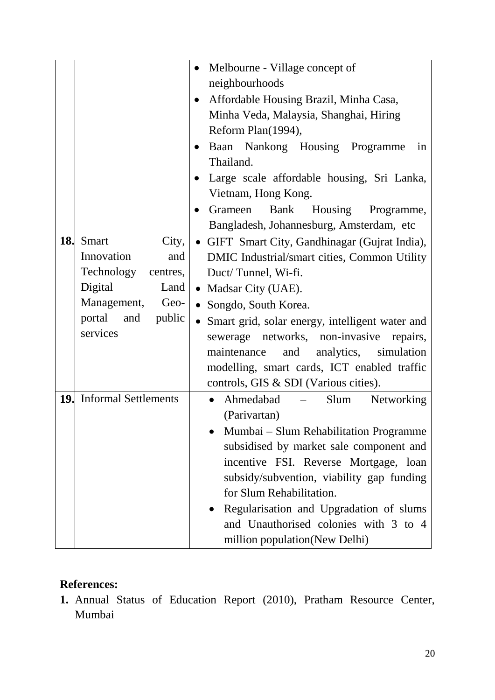|     |                                 | Melbourne - Village concept of<br>$\bullet$                                     |  |
|-----|---------------------------------|---------------------------------------------------------------------------------|--|
|     |                                 | neighbourhoods                                                                  |  |
|     |                                 | Affordable Housing Brazil, Minha Casa,                                          |  |
|     |                                 | Minha Veda, Malaysia, Shanghai, Hiring                                          |  |
|     |                                 | Reform Plan(1994),                                                              |  |
|     |                                 | Baan Nankong Housing Programme<br>in                                            |  |
|     |                                 | Thailand.                                                                       |  |
|     |                                 | Large scale affordable housing, Sri Lanka,                                      |  |
|     |                                 | Vietnam, Hong Kong.                                                             |  |
|     |                                 | Housing<br>Grameen<br>Bank<br>Programme,                                        |  |
|     |                                 | Bangladesh, Johannesburg, Amsterdam, etc                                        |  |
| 18. | <b>Smart</b><br>City,           | • GIFT Smart City, Gandhinagar (Gujrat India),                                  |  |
|     | Innovation<br>and               | DMIC Industrial/smart cities, Common Utility                                    |  |
|     | Technology<br>centres,          | Duct/Tunnel, Wi-fi.                                                             |  |
|     | Digital<br>Land                 | • Madsar City (UAE).                                                            |  |
|     | Management,<br>Geo-             | • Songdo, South Korea.                                                          |  |
|     | portal and<br>public            | • Smart grid, solar energy, intelligent water and                               |  |
|     | services                        | sewerage networks, non-invasive repairs,                                        |  |
|     |                                 | analytics, simulation<br>maintenance<br>and                                     |  |
|     |                                 | modelling, smart cards, ICT enabled traffic                                     |  |
|     |                                 | controls, GIS & SDI (Various cities).                                           |  |
|     | <b>19.</b> Informal Settlements | Ahmedabad<br>Slum<br>Networking<br>$\bullet$<br>$\frac{1}{2}$ and $\frac{1}{2}$ |  |
|     |                                 | (Parivartan)                                                                    |  |
|     |                                 | Mumbai - Slum Rehabilitation Programme                                          |  |
|     |                                 | subsidised by market sale component and                                         |  |
|     |                                 | incentive FSI. Reverse Mortgage, loan                                           |  |
|     |                                 | subsidy/subvention, viability gap funding                                       |  |
|     |                                 | for Slum Rehabilitation.                                                        |  |
|     |                                 | • Regularisation and Upgradation of slums                                       |  |
|     |                                 | and Unauthorised colonies with 3 to 4                                           |  |
|     |                                 | million population(New Delhi)                                                   |  |

# **References:**

**1.** Annual Status of Education Report (2010), Pratham Resource Center, Mumbai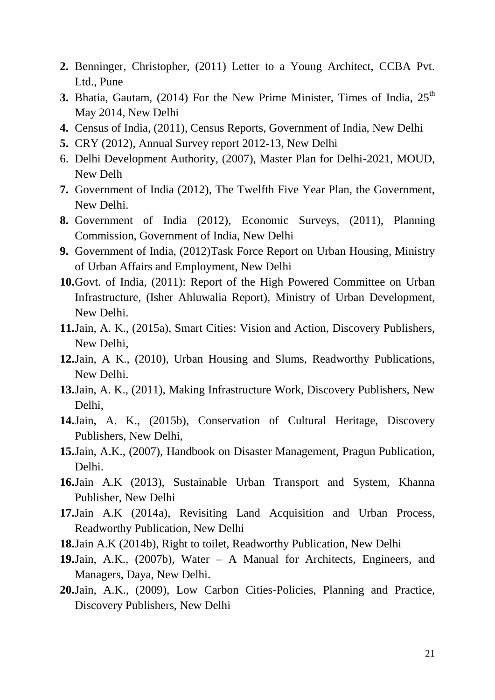- **2.** Benninger, Christopher, (2011) Letter to a Young Architect, CCBA Pvt. Ltd., Pune
- **3.** Bhatia, Gautam,  $(2014)$  For the New Prime Minister, Times of India,  $25<sup>th</sup>$ May 2014, New Delhi
- **4.** Census of India, (2011), Census Reports, Government of India, New Delhi
- **5.** CRY (2012), Annual Survey report 2012-13, New Delhi
- 6. Delhi Development Authority, (2007), Master Plan for Delhi-2021, MOUD, New Delh
- **7.** Government of India (2012), The Twelfth Five Year Plan, the Government, New Delhi.
- **8.** Government of India (2012), Economic Surveys, (2011), Planning Commission, Government of India, New Delhi
- **9.** Government of India, (2012)Task Force Report on Urban Housing, Ministry of Urban Affairs and Employment, New Delhi
- **10.**Govt. of India, (2011): Report of the High Powered Committee on Urban Infrastructure, (Isher Ahluwalia Report), Ministry of Urban Development, New Delhi.
- **11.**Jain, A. K., (2015a), Smart Cities: Vision and Action, Discovery Publishers, New Delhi,
- **12.**Jain, A K., (2010), Urban Housing and Slums, Readworthy Publications, New Delhi.
- **13.**Jain, A. K., (2011), Making Infrastructure Work, Discovery Publishers, New Delhi,
- **14.**Jain, A. K., (2015b), Conservation of Cultural Heritage, Discovery Publishers, New Delhi,
- **15.**Jain, A.K., (2007), Handbook on Disaster Management, Pragun Publication, Delhi.
- **16.**Jain A.K (2013), Sustainable Urban Transport and System, Khanna Publisher, New Delhi
- **17.**Jain A.K (2014a), Revisiting Land Acquisition and Urban Process, Readworthy Publication, New Delhi
- **18.**Jain A.K (2014b), Right to toilet, Readworthy Publication, New Delhi
- **19.**Jain, A.K., (2007b), Water A Manual for Architects, Engineers, and Managers, Daya, New Delhi.
- **20.**Jain, A.K., (2009), Low Carbon Cities-Policies, Planning and Practice, Discovery Publishers, New Delhi